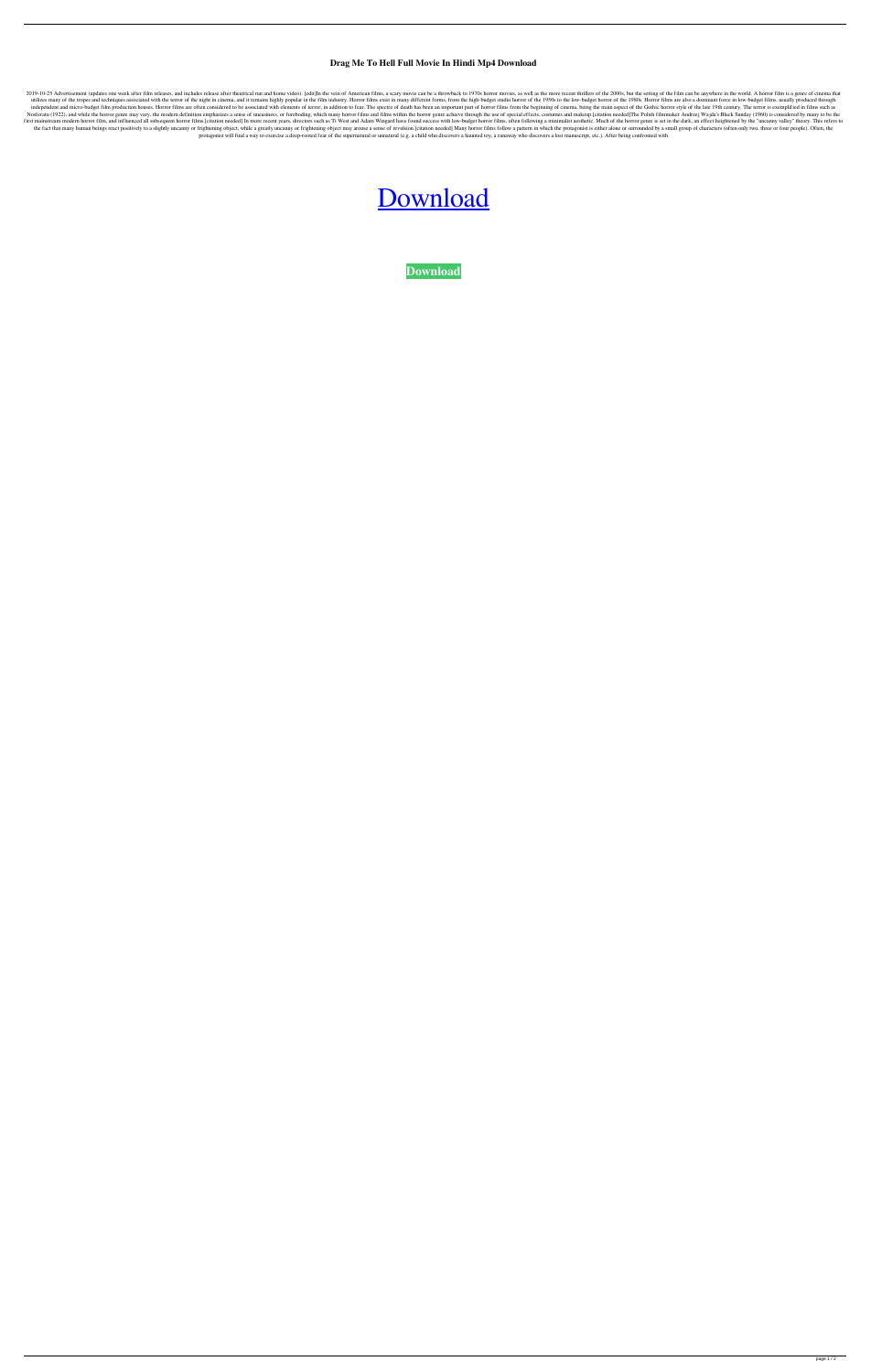## **Drag Me To Hell Full Movie In Hindi Mp4 Download**

2019-10-25 Advertisement (updates one week after film releases, and includes release after theatrical run and home video). [edit]In the vein of American films, a scary movie can be a throwback to 1970s horror movies, as we utilizes many of the tropes and techniques associated with the terror of the night in cinema, and it remains highly popular in the film industry. Horror films exist in many different forms, from the high-budget studio horr independent and micro-budget film production houses. Horror films are often considered to be associated with elements of terror, in addition to fear. The spectre of death has been an important part of horror films from the Nosferatu (1922), and while the horror genre may vary, the modern definition emphasizes a sense of uneasiness, or foreboding, which many horror films and films within the horror genre achieve through the use of special eff first mainstream modern horror film, and influenced all subsequent horror films. [citation needed] In more recent years, directors such as Ti West and Adam Wingard have found success with low-budget horror films, often fol the fact that many human beings react positively to a slightly uncanny or frightening object, while a greatly uncanny or frightening object may arouse a sense of revulsion.[citation needed] Many horror films follow a patte protagonist will find a way to exorcise a deep-rooted fear of the supernatural or unnatural (e.g. a child who discovers a haunted toy, a runaway who discovers a lost manuscript, etc.). After being confronted with

## [Download](http://evacdir.com/ZG93bmxvYWR8SWM2TW1RMGRIeDhNVFkxTWpjME1EZzJObng4TWpVM05IeDhLRTBwSUhKbFlXUXRZbXh2WnlCYlJtRnpkQ0JIUlU1ZA/coquitlan.claimline?malodour=ZHJhZyBtZSB0byBoZWxsIGZ1bGwgbW92aWUgaW4gaGluZGkgbXA0IGRvd25sb2FkZHJ&kenisha=.)

**[Download](http://evacdir.com/ZG93bmxvYWR8SWM2TW1RMGRIeDhNVFkxTWpjME1EZzJObng4TWpVM05IeDhLRTBwSUhKbFlXUXRZbXh2WnlCYlJtRnpkQ0JIUlU1ZA/coquitlan.claimline?malodour=ZHJhZyBtZSB0byBoZWxsIGZ1bGwgbW92aWUgaW4gaGluZGkgbXA0IGRvd25sb2FkZHJ&kenisha=.)**